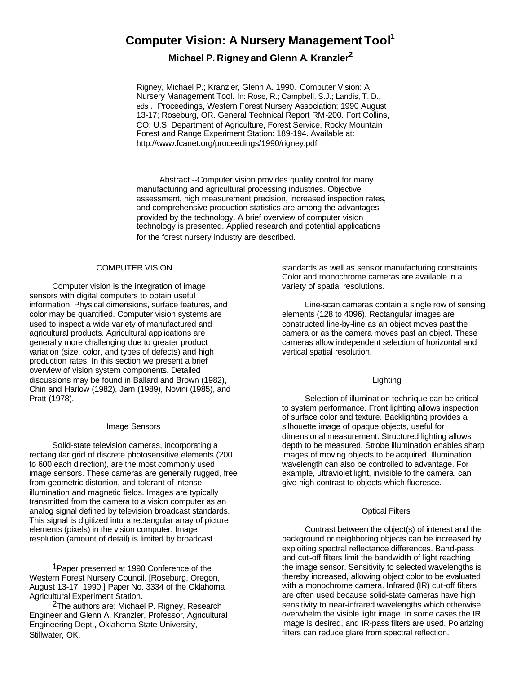# **Computer Vision: A Nursery Management Tool<sup>1</sup>**

**Michael P. Rigney and Glenn A. Kranzler<sup>2</sup>**

Rigney, Michael P.; Kranzler, Glenn A. 1990. Computer Vision: A Nursery Management Tool. In: Rose, R.; Campbell, S.J.; Landis, T. D., eds. Proceedings, Western Forest Nursery Association; 1990 August 13-17; Roseburg, OR. General Technical Report RM-200. Fort Collins, CO: U.S. Department of Agriculture, Forest Service, Rocky Mountain Forest and Range Experiment Station: 189-194. Available at: http://www.fcanet.org/proceedings/1990/rigney.pdf

Abstract.--Computer vision provides quality control for many manufacturing and agricultural processing industries. Objective assessment, high measurement precision, increased inspection rates, and comprehensive production statistics are among the advantages provided by the technology. A brief overview of computer vision technology is presented. Applied research and potential applications for the forest nursery industry are described.

## COMPUTER VISION

Computer vision is the integration of image sensors with digital computers to obtain useful information. Physical dimensions, surface features, and color may be quantified. Computer vision systems are used to inspect a wide variety of manufactured and agricultural products. Agricultural applications are generally more challenging due to greater product variation (size, color, and types of defects) and high production rates. In this section we present a brief overview of vision system components. Detailed discussions may be found in Ballard and Brown (1982), Chin and Harlow (1982), Jam (1989), Novini (1985), and Pratt (1978).

#### Image Sensors

Solid-state television cameras, incorporating a rectangular grid of discrete photosensitive elements (200 to 600 each direction), are the most commonly used image sensors. These cameras are generally rugged, free from geometric distortion, and tolerant of intense illumination and magnetic fields. Images are typically transmitted from the camera to a vision computer as an analog signal defined by television broadcast standards. This signal is digitized into a rectangular array of picture elements (pixels) in the vision computer. Image resolution (amount of detail) is limited by broadcast

standards as well as sensor manufacturing constraints. Color and monochrome cameras are available in a variety of spatial resolutions.

Line-scan cameras contain a single row of sensing elements (128 to 4096). Rectangular images are constructed line-by-line as an object moves past the camera or as the camera moves past an object. These cameras allow independent selection of horizontal and vertical spatial resolution.

#### Lighting

Selection of illumination technique can be critical to system performance. Front lighting allows inspection of surface color and texture. Backlighting provides a silhouette image of opaque objects, useful for dimensional measurement. Structured lighting allows depth to be measured. Strobe illumination enables sharp images of moving objects to be acquired. Illumination wavelength can also be controlled to advantage. For example, ultraviolet light, invisible to the camera, can give high contrast to objects which fluoresce.

## Optical Filters

Contrast between the object(s) of interest and the background or neighboring objects can be increased by exploiting spectral reflectance differences. Band-pass and cut-off filters limit the bandwidth of light reaching the image sensor. Sensitivity to selected wavelengths is thereby increased, allowing object color to be evaluated with a monochrome camera. Infrared (IR) cut-off filters are often used because solid-state cameras have high sensitivity to near-infrared wavelengths which otherwise overwhelm the visible light image. In some cases the IR image is desired, and IR-pass filters are used. Polarizing filters can reduce glare from spectral reflection.

<sup>1</sup>Paper presented at 1990 Conference of the Western Forest Nursery Council. [Roseburg, Oregon, August 13-17, 1990.] Paper No. 3334 of the Oklahoma Agricultural Experiment Station.

<sup>2</sup>The authors are: Michael P. Rigney, Research Engineer and Glenn A. Kranzler, Professor, Agricultural Engineering Dept., Oklahoma State University, Stillwater, OK.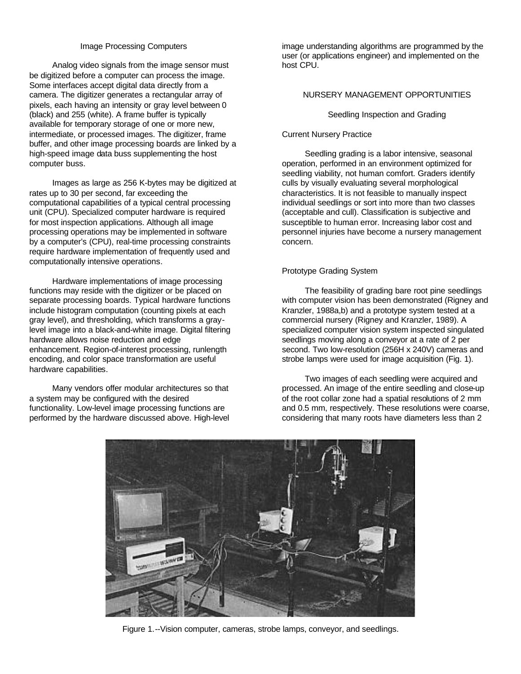## Image Processing Computers

Analog video signals from the image sensor must be digitized before a computer can process the image. Some interfaces accept digital data directly from a camera. The digitizer generates a rectangular array of pixels, each having an intensity or gray level between 0 (black) and 255 (white). A frame buffer is typically available for temporary storage of one or more new, intermediate, or processed images. The digitizer, frame buffer, and other image processing boards are linked by a high-speed image data buss supplementing the host computer buss.

Images as large as 256 K-bytes may be digitized at rates up to 30 per second, far exceeding the computational capabilities of a typical central processing unit (CPU). Specialized computer hardware is required for most inspection applications. Although all image processing operations may be implemented in software by a computer's (CPU), real-time processing constraints require hardware implementation of frequently used and computationally intensive operations.

Hardware implementations of image processing functions may reside with the digitizer or be placed on separate processing boards. Typical hardware functions include histogram computation (counting pixels at each gray level), and thresholding, which transforms a graylevel image into a black-and-white image. Digital filtering hardware allows noise reduction and edge enhancement. Region-of-interest processing, runlength encoding, and color space transformation are useful hardware capabilities.

Many vendors offer modular architectures so that a system may be configured with the desired functionality. Low-level image processing functions are performed by the hardware discussed above. High-level image understanding algorithms are programmed by the user (or applications engineer) and implemented on the host CPU.

## NURSERY MANAGEMENT OPPORTUNITIES

### Seedling Inspection and Grading

#### Current Nursery Practice

Seedling grading is a labor intensive, seasonal operation, performed in an environment optimized for seedling viability, not human comfort. Graders identify culls by visually evaluating several morphological characteristics. It is not feasible to manually inspect individual seedlings or sort into more than two classes (acceptable and cull). Classification is subjective and susceptible to human error. Increasing labor cost and personnel injuries have become a nursery management concern.

## Prototype Grading System

The feasibility of grading bare root pine seedlings with computer vision has been demonstrated (Rigney and Kranzler, 1988a,b) and a prototype system tested at a commercial nursery (Rigney and Kranzler, 1989). A specialized computer vision system inspected singulated seedlings moving along a conveyor at a rate of 2 per second. Two low-resolution (256H x 240V) cameras and strobe lamps were used for image acquisition (Fig. 1).

Two images of each seedling were acquired and processed. An image of the entire seedling and close-up of the root collar zone had a spatial resolutions of 2 mm and 0.5 mm, respectively. These resolutions were coarse, considering that many roots have diameters less than 2



Figure 1.--Vision computer, cameras, strobe lamps, conveyor, and seedlings.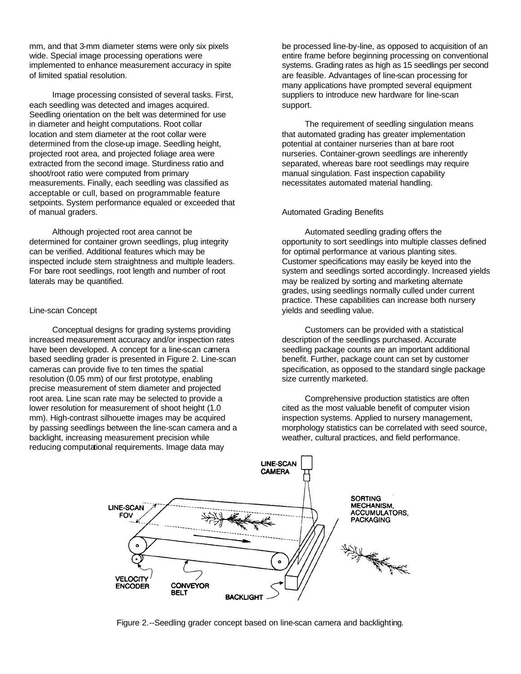mm, and that 3-mm diameter stems were only six pixels wide. Special image processing operations were implemented to enhance measurement accuracy in spite of limited spatial resolution.

Image processing consisted of several tasks. First, each seedling was detected and images acquired. Seedling orientation on the belt was determined for use in diameter and height computations. Root collar location and stem diameter at the root collar were determined from the close-up image. Seedling height, projected root area, and projected foliage area were extracted from the second image. Sturdiness ratio and shoot/root ratio were computed from primary measurements. Finally, each seedling was classified as acceptable or cull, based on programmable feature setpoints. System performance equaled or exceeded that of manual graders.

Although projected root area cannot be determined for container grown seedlings, plug integrity can be verified. Additional features which may be inspected include stem straightness and multiple leaders. For bare root seedlings, root length and number of root laterals may be quantified.

## Line-scan Concept

Conceptual designs for grading systems providing increased measurement accuracy and/or inspection rates have been developed. A concept for a line-scan camera based seedling grader is presented in Figure 2. Line-scan cameras can provide five to ten times the spatial resolution (0.05 mm) of our first prototype, enabling precise measurement of stem diameter and projected root area. Line scan rate may be selected to provide a lower resolution for measurement of shoot height (1.0 mm). High-contrast silhouette images may be acquired by passing seedlings between the line-scan camera and a backlight, increasing measurement precision while reducing computational requirements. Image data may

be processed line-by-line, as opposed to acquisition of an entire frame before beginning processing on conventional systems. Grading rates as high as 15 seedlings per second are feasible. Advantages of line-scan processing for many applications have prompted several equipment suppliers to introduce new hardware for line-scan support.

The requirement of seedling singulation means that automated grading has greater implementation potential at container nurseries than at bare root nurseries. Container-grown seedlings are inherently separated, whereas bare root seedlings may require manual singulation. Fast inspection capability necessitates automated material handling.

## Automated Grading Benefits

Automated seedling grading offers the opportunity to sort seedlings into multiple classes defined for optimal performance at various planting sites. Customer specifications may easily be keyed into the system and seedlings sorted accordingly. Increased yields may be realized by sorting and marketing alternate grades, using seedlings normally culled under current practice. These capabilities can increase both nursery yields and seedling value.

Customers can be provided with a statistical description of the seedlings purchased. Accurate seedling package counts are an important additional benefit. Further, package count can set by customer specification, as opposed to the standard single package size currently marketed.

Comprehensive production statistics are often cited as the most valuable benefit of computer vision inspection systems. Applied to nursery management, morphology statistics can be correlated with seed source, weather, cultural practices, and field performance.



Figure 2.--Seedling grader concept based on line-scan camera and backlighting.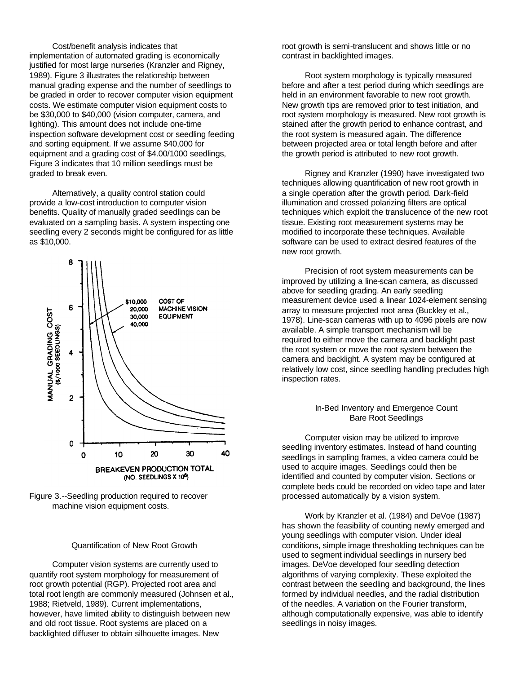Cost/benefit analysis indicates that implementation of automated grading is economically justified for most large nurseries (Kranzler and Rigney, 1989). Figure 3 illustrates the relationship between manual grading expense and the number of seedlings to be graded in order to recover computer vision equipment costs. We estimate computer vision equipment costs to be \$30,000 to \$40,000 (vision computer, camera, and lighting). This amount does not include one-time inspection software development cost or seedling feeding and sorting equipment. If we assume \$40,000 for equipment and a grading cost of \$4.00/1000 seedlings, Figure 3 indicates that 10 million seedlings must be graded to break even.

Alternatively, a quality control station could provide a low-cost introduction to computer vision benefits. Quality of manually graded seedlings can be evaluated on a sampling basis. A system inspecting one seedling every 2 seconds might be configured for as little as \$10,000.



Figure 3.--Seedling production required to recover machine vision equipment costs.

## Quantification of New Root Growth

Computer vision systems are currently used to quantify root system morphology for measurement of root growth potential (RGP). Projected root area and total root length are commonly measured (Johnsen et al., 1988; Rietveld, 1989). Current implementations, however, have limited ability to distinguish between new and old root tissue. Root systems are placed on a backlighted diffuser to obtain silhouette images. New

root growth is semi-translucent and shows little or no contrast in backlighted images.

Root system morphology is typically measured before and after a test period during which seedlings are held in an environment favorable to new root growth. New growth tips are removed prior to test initiation, and root system morphology is measured. New root growth is stained after the growth period to enhance contrast, and the root system is measured again. The difference between projected area or total length before and after the growth period is attributed to new root growth.

Rigney and Kranzler (1990) have investigated two techniques allowing quantification of new root growth in a single operation after the growth period. Dark-field illumination and crossed polarizing filters are optical techniques which exploit the translucence of the new root tissue. Existing root measurement systems may be modified to incorporate these techniques. Available software can be used to extract desired features of the new root growth.

Precision of root system measurements can be improved by utilizing a line-scan camera, as discussed above for seedling grading. An early seedling measurement device used a linear 1024-element sensing array to measure projected root area (Buckley et al., 1978). Line-scan cameras with up to 4096 pixels are now available. A simple transport mechanism will be required to either move the camera and backlight past the root system or move the root system between the camera and backlight. A system may be configured at relatively low cost, since seedling handling precludes high inspection rates.

#### In-Bed Inventory and Emergence Count Bare Root Seedlings

Computer vision may be utilized to improve seedling inventory estimates. Instead of hand counting seedlings in sampling frames, a video camera could be used to acquire images. Seedlings could then be identified and counted by computer vision. Sections or complete beds could be recorded on video tape and later processed automatically by a vision system.

Work by Kranzler et al. (1984) and DeVoe (1987) has shown the feasibility of counting newly emerged and young seedlings with computer vision. Under ideal conditions, simple image thresholding techniques can be used to segment individual seedlings in nursery bed images. DeVoe developed four seedling detection algorithms of varying complexity. These exploited the contrast between the seedling and background, the lines formed by individual needles, and the radial distribution of the needles. A variation on the Fourier transform, although computationally expensive, was able to identify seedlings in noisy images.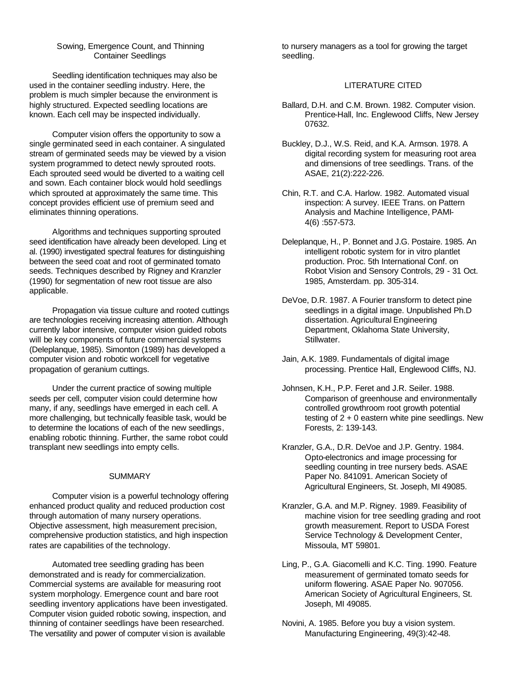## Sowing, Emergence Count, and Thinning Container Seedlings

Seedling identification techniques may also be used in the container seedling industry. Here, the problem is much simpler because the environment is highly structured. Expected seedling locations are known. Each cell may be inspected individually.

Computer vision offers the opportunity to sow a single germinated seed in each container. A singulated stream of germinated seeds may be viewed by a vision system programmed to detect newly sprouted roots. Each sprouted seed would be diverted to a waiting cell and sown. Each container block would hold seedlings which sprouted at approximately the same time. This concept provides efficient use of premium seed and eliminates thinning operations.

Algorithms and techniques supporting sprouted seed identification have already been developed. Ling et al. (1990) investigated spectral features for distinguishing between the seed coat and root of germinated tomato seeds. Techniques described by Rigney and Kranzler (1990) for segmentation of new root tissue are also applicable.

Propagation via tissue culture and rooted cuttings are technologies receiving increasing attention. Although currently labor intensive, computer vision guided robots will be key components of future commercial systems (Deleplanque, 1985). Simonton (1989) has developed a computer vision and robotic workcell for vegetative propagation of geranium cuttings.

Under the current practice of sowing multiple seeds per cell, computer vision could determine how many, if any, seedlings have emerged in each cell. A more challenging, but technically feasible task, would be to determine the locations of each of the new seedlings, enabling robotic thinning. Further, the same robot could transplant new seedlings into empty cells.

## **SUMMARY**

Computer vision is a powerful technology offering enhanced product quality and reduced production cost through automation of many nursery operations. Objective assessment, high measurement precision, comprehensive production statistics, and high inspection rates are capabilities of the technology.

Automated tree seedling grading has been demonstrated and is ready for commercialization. Commercial systems are available for measuring root system morphology. Emergence count and bare root seedling inventory applications have been investigated. Computer vision guided robotic sowing, inspection, and thinning of container seedlings have been researched. The versatility and power of computer vision is available

to nursery managers as a tool for growing the target seedling.

## LITERATURE CITED

- Ballard, D.H. and C.M. Brown. 1982. Computer vision. Prentice-Hall, Inc. Englewood Cliffs, New Jersey 07632.
- Buckley, D.J., W.S. Reid, and K.A. Armson. 1978. A digital recording system for measuring root area and dimensions of tree seedlings. Trans. of the ASAE, 21(2):222-226.
- Chin, R.T. and C.A. Harlow. 1982. Automated visual inspection: A survey. IEEE Trans. on Pattern Analysis and Machine Intelligence, PAMI-4(6) :557-573.
- Deleplanque, H., P. Bonnet and J.G. Postaire. 1985. An intelligent robotic system for in vitro plantlet production. Proc. 5th International Conf. on Robot Vision and Sensory Controls, 29 - 31 Oct. 1985, Amsterdam. pp. 305-314.
- DeVoe, D.R. 1987. A Fourier transform to detect pine seedlings in a digital image. Unpublished Ph.D dissertation. Agricultural Engineering Department, Oklahoma State University, Stillwater.
- Jain, A.K. 1989. Fundamentals of digital image processing. Prentice Hall, Englewood Cliffs, NJ.
- Johnsen, K.H., P.P. Feret and J.R. Seiler. 1988. Comparison of greenhouse and environmentally controlled growthroom root growth potential testing of  $2 + 0$  eastern white pine seedlings. New Forests, 2: 139-143.

Kranzler, G.A., D.R. DeVoe and J.P. Gentry. 1984. Opto-electronics and image processing for seedling counting in tree nursery beds. ASAE Paper No. 841091. American Society of Agricultural Engineers, St. Joseph, MI 49085.

- Kranzler, G.A. and M.P. Rigney. 1989. Feasibility of machine vision for tree seedling grading and root growth measurement. Report to USDA Forest Service Technology & Development Center, Missoula, MT 59801.
- Ling, P., G.A. Giacomelli and K.C. Ting. 1990. Feature measurement of germinated tomato seeds for uniform flowering. ASAE Paper No. 907056. American Society of Agricultural Engineers, St. Joseph, MI 49085.
- Novini, A. 1985. Before you buy a vision system. Manufacturing Engineering, 49(3):42-48.